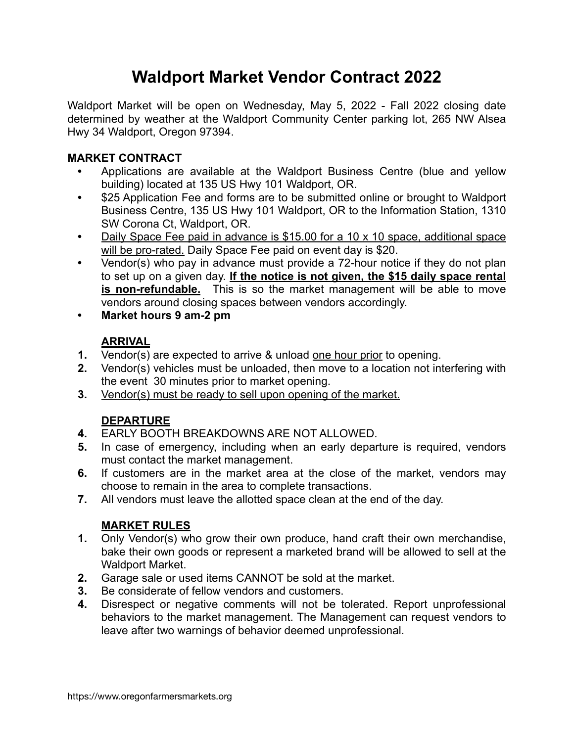## **Waldport Market Vendor Contract 2022**

Waldport Market will be open on Wednesday, May 5, 2022 - Fall 2022 closing date determined by weather at the Waldport Community Center parking lot, 265 NW Alsea Hwy 34 Waldport, Oregon 97394.

#### **MARKET CONTRACT**

- **•** Applications are available at the Waldport Business Centre (blue and yellow building) located at 135 US Hwy 101 Waldport, OR.
- **•** \$25 Application Fee and forms are to be submitted online or brought to Waldport Business Centre, 135 US Hwy 101 Waldport, OR to the Information Station, 1310 SW Corona Ct, Waldport, OR.
- **•** Daily Space Fee paid in advance is \$15.00 for a 10 x 10 space, additional space will be pro-rated. Daily Space Fee paid on event day is \$20.
- **•** Vendor(s) who pay in advance must provide a 72-hour notice if they do not plan to set up on a given day. **If the notice is not given, the \$15 daily space rental is non-refundable.** This is so the market management will be able to move vendors around closing spaces between vendors accordingly.
- **• Market hours 9 am-2 pm**

### **ARRIVAL**

- **1.** Vendor(s) are expected to arrive & unload one hour prior to opening.
- **2.** Vendor(s) vehicles must be unloaded, then move to a location not interfering with the event 30 minutes prior to market opening.
- **3.** Vendor(s) must be ready to sell upon opening of the market.

#### **DEPARTURE**

- **4.** EARLY BOOTH BREAKDOWNS ARE NOT ALLOWED.
- **5.** In case of emergency, including when an early departure is required, vendors must contact the market management.
- **6.** If customers are in the market area at the close of the market, vendors may choose to remain in the area to complete transactions.
- **7.** All vendors must leave the allotted space clean at the end of the day.

#### **MARKET RULES**

- **1.** Only Vendor(s) who grow their own produce, hand craft their own merchandise, bake their own goods or represent a marketed brand will be allowed to sell at the Waldport Market.
- **2.** Garage sale or used items CANNOT be sold at the market.
- **3.** Be considerate of fellow vendors and customers.
- **4.** Disrespect or negative comments will not be tolerated. Report unprofessional behaviors to the market management. The Management can request vendors to leave after two warnings of behavior deemed unprofessional.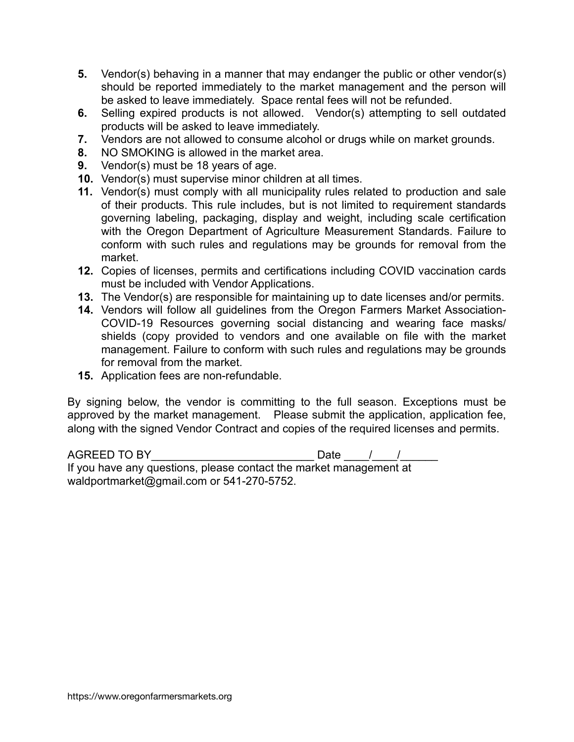- **5.** Vendor(s) behaving in a manner that may endanger the public or other vendor(s) should be reported immediately to the market management and the person will be asked to leave immediately. Space rental fees will not be refunded.
- **6.** Selling expired products is not allowed. Vendor(s) attempting to sell outdated products will be asked to leave immediately.
- **7.** Vendors are not allowed to consume alcohol or drugs while on market grounds.
- **8.** NO SMOKING is allowed in the market area.
- **9.** Vendor(s) must be 18 years of age.
- **10.** Vendor(s) must supervise minor children at all times.
- **11.** Vendor(s) must comply with all municipality rules related to production and sale of their products. This rule includes, but is not limited to requirement standards governing labeling, packaging, display and weight, including scale certification with the Oregon Department of Agriculture Measurement Standards. Failure to conform with such rules and regulations may be grounds for removal from the market.
- **12.** Copies of licenses, permits and certifications including COVID vaccination cards must be included with Vendor Applications.
- **13.** The Vendor(s) are responsible for maintaining up to date licenses and/or permits.
- **14.** Vendors will follow all guidelines from the Oregon Farmers Market Association-COVID-19 Resources governing social distancing and wearing face masks/ shields (copy provided to vendors and one available on file with the market management. Failure to conform with such rules and regulations may be grounds for removal from the market.
- **15.** Application fees are non-refundable.

By signing below, the vendor is committing to the full season. Exceptions must be approved by the market management. Please submit the application, application fee, along with the signed Vendor Contract and copies of the required licenses and permits.

AGREED TO BY\_\_\_\_\_\_\_\_\_\_\_\_\_\_\_\_\_\_\_\_\_\_\_\_\_\_ Date \_\_\_\_/\_\_\_\_/\_\_\_\_\_\_ If you have any questions, please contact the market management at waldportmarket@gmail.com or 541-270-5752.